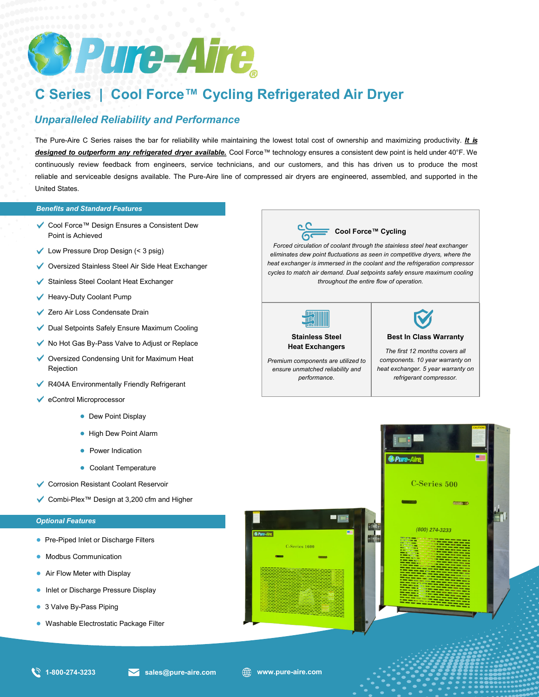

# **C Series | Cool Force™ Cycling Refrigerated Air Dryer**

# *Unparalleled Reliability and Performance*

The Pure-Aire C Series raises the bar for reliability while maintaining the lowest total cost of ownership and maximizing productivity. *It is designed to outperform any refrigerated dryer available.* Cool Force™ technology ensures a consistent dew point is held under 40°F. We continuously review feedback from engineers, service technicians, and our customers, and this has driven us to produce the most reliable and serviceable designs available. The Pure-Aire line of compressed air dryers are engineered, assembled, and supported in the United States.

#### *Benefits and Standard Features*

- Cool Force™ Design Ensures a Consistent Dew Point is Achieved
- $\checkmark$  Low Pressure Drop Design (< 3 psig)
- ◆ Oversized Stainless Steel Air Side Heat Exchanger
- Stainless Steel Coolant Heat Exchanger
- $\blacktriangleright$  Heavy-Duty Coolant Pump
- **✓** Zero Air Loss Condensate Drain
- Dual Setpoints Safely Ensure Maximum Cooling
- No Hot Gas By-Pass Valve to Adjust or Replace
- ◆ Oversized Condensing Unit for Maximum Heat Rejection
- ◆ R404A Environmentally Friendly Refrigerant
- eControl Microprocessor
	- Dew Point Display
	- High Dew Point Alarm
	- Power Indication
	- Coolant Temperature
- Corrosion Resistant Coolant Reservoir
- Combi-Plex™ Design at 3,200 cfm and Higher

#### *Optional Features*

- Pre-Piped Inlet or Discharge Filters
- Modbus Communication
- Air Flow Meter with Display
- Inlet or Discharge Pressure Display
- 3 Valve By-Pass Piping
- Washable Electrostatic Package Filter